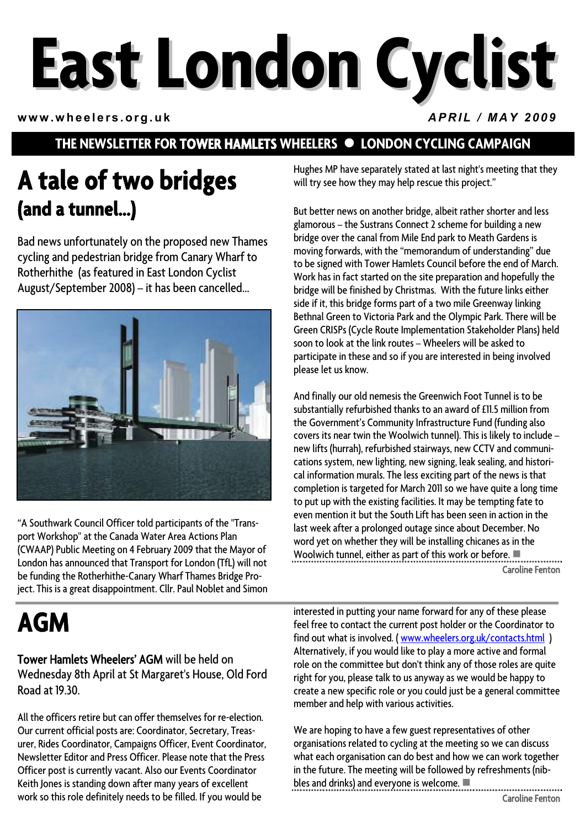# **East London Cyclist**

**www.wheelers.org.uk** *APRIL / MAY 2009*

## **THE NEWSLETTER FOR TOWER HAMLETS WHEELERS**  $\bullet$  **LONDON CYCLING CAMPAIGN**

## **A tale of two bridges (and a tunnel...)**

Bad news unfortunately on the proposed new Thames cycling and pedestrian bridge from Canary Wharf to Rotherhithe (as featured in East London Cyclist August/September 2008) – it has been cancelled...



"A Southwark Council Officer told participants of the "Transport Workshop" at the Canada Water Area Actions Plan (CWAAP) Public Meeting on 4 February 2009 that the Mayor of London has announced that Transport for London (TfL) will not be funding the Rotherhithe-Canary Wharf Thames Bridge Project. This is a great disappointment. Cllr. Paul Noblet and Simon

# **AGM**

Tower Hamlets Wheelers' AGM will be held on Wednesday 8th April at St Margaret's House, Old Ford Road at 19.30.

All the officers retire but can offer themselves for re-election. Our current official posts are: Coordinator, Secretary, Treasurer, Rides Coordinator, Campaigns Officer, Event Coordinator, Newsletter Editor and Press Officer. Please note that the Press Officer post is currently vacant. Also our Events Coordinator Keith Jones is standing down after many years of excellent work so this role definitely needs to be filled. If you would be

Hughes MP have separately stated at last night's meeting that they will try see how they may help rescue this project."

But better news on another bridge, albeit rather shorter and less glamorous – the Sustrans Connect 2 scheme for building a new bridge over the canal from Mile End park to Meath Gardens is moving forwards, with the "memorandum of understanding" due to be signed with Tower Hamlets Council before the end of March. Work has in fact started on the site preparation and hopefully the bridge will be finished by Christmas. With the future links either side if it, this bridge forms part of a two mile Greenway linking Bethnal Green to Victoria Park and the Olympic Park. There will be Green CRISPs (Cycle Route Implementation Stakeholder Plans) held soon to look at the link routes – Wheelers will be asked to participate in these and so if you are interested in being involved please let us know.

And finally our old nemesis the Greenwich Foot Tunnel is to be substantially refurbished thanks to an award of £11.5 million from the Government's Community Infrastructure Fund (funding also covers its near twin the Woolwich tunnel). This is likely to include – new lifts (hurrah), refurbished stairways, new CCTV and communications system, new lighting, new signing, leak sealing, and historical information murals. The less exciting part of the news is that completion is targeted for March 2011 so we have quite a long time to put up with the existing facilities. It may be tempting fate to even mention it but the South Lift has been seen in action in the last week after a prolonged outage since about December. No word yet on whether they will be installing chicanes as in the Woolwich tunnel, either as part of this work or before.  $\blacksquare$ Caroline Fenton

interested in putting your name forward for any of these please feel free to contact the current post holder or the Coordinator to find out what is involved. ( [www.wheelers.org.uk/contacts.html](http://www.wheelers.otg.uk/contacts.html) ) Alternatively, if you would like to play a more active and formal role on the committee but don't think any of those roles are quite right for you, please talk to us anyway as we would be happy to create a new specific role or you could just be a general committee member and help with various activities.

We are hoping to have a few guest representatives of other organisations related to cycling at the meeting so we can discuss what each organisation can do best and how we can work together in the future. The meeting will be followed by refreshments (nibbles and drinks) and everyone is welcome.  $\blacksquare$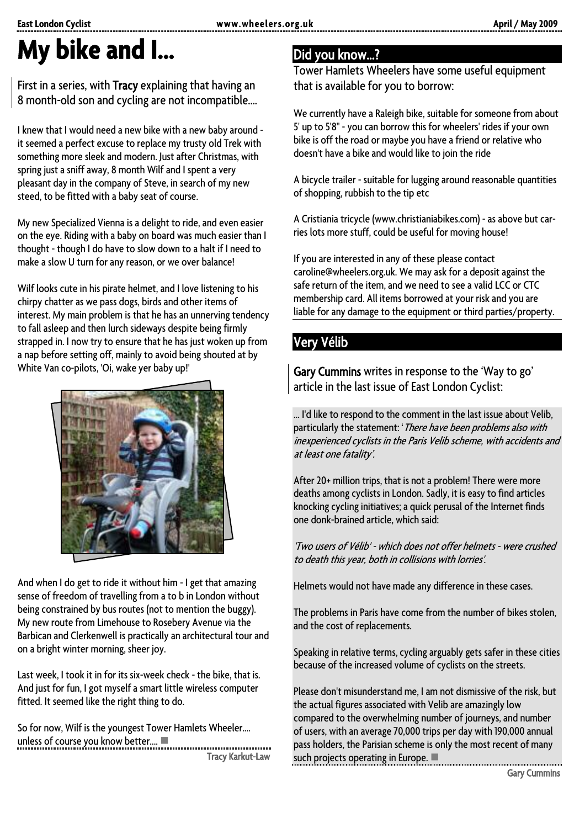# **My bike and I...**

#### First in a series, with Tracy explaining that having an 8 month-old son and cycling are not incompatible....

I knew that I would need a new bike with a new baby around it seemed a perfect excuse to replace my trusty old Trek with something more sleek and modern. Just after Christmas, with spring just a sniff away, 8 month Wilf and I spent a very pleasant day in the company of Steve, in search of my new steed, to be fitted with a baby seat of course.

My new Specialized Vienna is a delight to ride, and even easier on the eye. Riding with a baby on board was much easier than I thought - though I do have to slow down to a halt if I need to make a slow U turn for any reason, or we over balance!

Wilf looks cute in his pirate helmet, and I love listening to his chirpy chatter as we pass dogs, birds and other items of interest. My main problem is that he has an unnerving tendency to fall asleep and then lurch sideways despite being firmly strapped in. I now try to ensure that he has just woken up from a nap before setting off, mainly to avoid being shouted at by White Van co-pilots, 'Oi, wake yer baby up!'



And when I do get to ride it without him - I get that amazing sense of freedom of travelling from a to b in London without being constrained by bus routes (not to mention the buggy). My new route from Limehouse to Rosebery Avenue via the Barbican and Clerkenwell is practically an architectural tour and on a bright winter morning, sheer joy.

Last week, I took it in for its six-week check - the bike, that is. And just for fun, I got myself a smart little wireless computer fitted. It seemed like the right thing to do.

So for now, Wilf is the youngest Tower Hamlets Wheeler.... unless of course you know better.... -------------------------

Tracy Karkut-Law

## Did you know…?

Tower Hamlets Wheelers have some useful equipment that is available for you to borrow:

We currently have a Raleigh bike, suitable for someone from about 5' up to 5'8" - you can borrow this for wheelers' rides if your own bike is off the road or maybe you have a friend or relative who doesn't have a bike and would like to join the ride

A bicycle trailer - suitable for lugging around reasonable quantities of shopping, rubbish to the tip etc

A Cristiania tricycle (www.christianiabikes.com) - as above but carries lots more stuff, could be useful for moving house!

If you are interested in any of these please contact caroline@wheelers.org.uk. We may ask for a deposit against the safe return of the item, and we need to see a valid LCC or CTC membership card. All items borrowed at your risk and you are liable for any damage to the equipment or third parties/property.

## Very Vélib

Gary Cummins writes in response to the 'Way to go' article in the last issue of East London Cyclist:

… I'd like to respond to the comment in the last issue about Velib, particularly the statement: '*There have been problems also with* inexperienced cyclists in the Paris Velib scheme, with accidents and at least one fatality'.

After 20+ million trips, that is not a problem! There were more deaths among cyclists in London. Sadly, it is easy to find articles knocking cycling initiatives; a quick perusal of the Internet finds one donk-brained article, which said:

'Two users of Vélib' - which does not offer helmets - were crushed to death this year, both in collisions with lorries'.

Helmets would not have made any difference in these cases.

The problems in Paris have come from the number of bikes stolen, and the cost of replacements.

Speaking in relative terms, cycling arguably gets safer in these cities because of the increased volume of cyclists on the streets.

Please don't misunderstand me, I am not dismissive of the risk, but the actual figures associated with Velib are amazingly low compared to the overwhelming number of journeys, and number of users, with an average 70,000 trips per day with 190,000 annual pass holders, the Parisian scheme is only the most recent of many such projects operating in Europe.  $\blacksquare$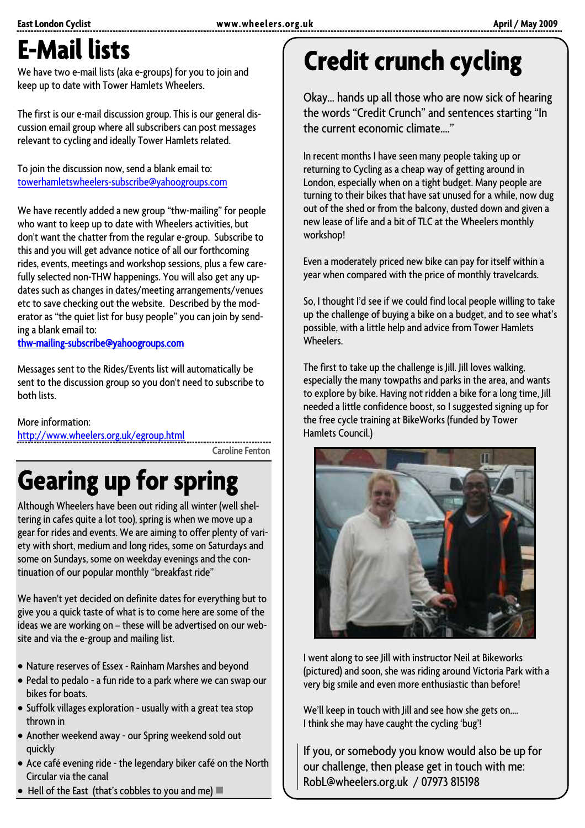# **E-Mail lists**

We have two e-mail lists (aka e-groups) for you to join and keep up to date with Tower Hamlets Wheelers.

The first is our e-mail discussion group. This is our general discussion email group where all subscribers can post messages relevant to cycling and ideally Tower Hamlets related.

To join the discussion now, send a blank email to: [towerhamletswheelers-subscribe@yahoogroups.com](mailto:towerhamletswheelers-subscribe@yahoogroups.com)

We have recently added a new group "thw-mailing" for people who want to keep up to date with Wheelers activities, but don't want the chatter from the regular e-group. Subscribe to this and you will get advance notice of all our forthcoming rides, events, meetings and workshop sessions, plus a few carefully selected non-THW happenings. You will also get any updates such as changes in dates/meeting arrangements/venues etc to save checking out the website. Described by the moderator as "the quiet list for busy people" you can join by sending a blank email to:

[thw-mailing-subscribe@yahoogroups.com](mailto:thw-mailing-subscribe@yahoogroups.com)

Messages sent to the Rides/Events list will automatically be sent to the discussion group so you don't need to subscribe to both lists.

More information:

<http://www.wheelers.org.uk/egroup.html>

........................ Caroline Fenton

# **Gearing up for spring**

Although Wheelers have been out riding all winter (well sheltering in cafes quite a lot too), spring is when we move up a gear for rides and events. We are aiming to offer plenty of variety with short, medium and long rides, some on Saturdays and some on Sundays, some on weekday evenings and the continuation of our popular monthly "breakfast ride"

We haven't yet decided on definite dates for everything but to give you a quick taste of what is to come here are some of the ideas we are working on – these will be advertised on our website and via the e-group and mailing list.

- Nature reserves of Essex Rainham Marshes and beyond
- Pedal to pedalo a fun ride to a park where we can swap our bikes for boats.
- Suffolk villages exploration usually with a great tea stop thrown in
- Another weekend away our Spring weekend sold out quickly
- Ace café evening ride the legendary biker café on the North Circular via the canal
- $\bullet$  Hell of the East (that's cobbles to you and me)  $\blacksquare$

# **Credit crunch cycling**

Okay… hands up all those who are now sick of hearing the words "Credit Crunch" and sentences starting "In the current economic climate…."

In recent months I have seen many people taking up or returning to Cycling as a cheap way of getting around in London, especially when on a tight budget. Many people are turning to their bikes that have sat unused for a while, now dug out of the shed or from the balcony, dusted down and given a new lease of life and a bit of TLC at the Wheelers monthly workshop!

Even a moderately priced new bike can pay for itself within a year when compared with the price of monthly travelcards.

So, I thought I'd see if we could find local people willing to take up the challenge of buying a bike on a budget, and to see what's possible, with a little help and advice from Tower Hamlets **Wheelers** 

The first to take up the challenge is Jill. Jill loves walking, especially the many towpaths and parks in the area, and wants to explore by bike. Having not ridden a bike for a long time, Jill needed a little confidence boost, so I suggested signing up for the free cycle training at BikeWorks (funded by Tower Hamlets Council.)



I went along to see Jill with instructor Neil at Bikeworks (pictured) and soon, she was riding around Victoria Park with a very big smile and even more enthusiastic than before!

We'll keep in touch with Jill and see how she gets on.... I think she may have caught the cycling 'bug'!

If you, or somebody you know would also be up for our challenge, then please get in touch with me: RobL@wheelers.org.uk / 07973 815198